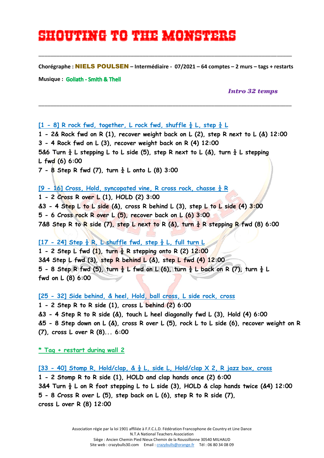# **Shouting to the monsters**

**Chorégraphe :** NIELS POULSEN **– Intermédiaire - 07/2021 – 64 comptes – 2 murs – tags + restarts**

\_\_\_\_\_\_\_\_\_\_\_\_\_\_\_\_\_\_\_\_\_\_\_\_\_\_\_\_\_\_\_\_\_\_\_\_\_\_\_\_\_\_\_\_\_\_\_\_\_\_\_\_\_\_\_\_\_\_\_\_\_\_\_\_\_\_\_\_\_\_\_\_\_\_\_\_\_\_\_\_\_\_\_\_\_

\_\_\_\_\_\_\_\_\_\_\_\_\_\_\_\_\_\_\_\_\_\_\_\_\_\_\_\_\_\_\_\_\_\_\_\_\_\_\_\_\_\_\_\_\_\_\_\_\_\_\_\_\_\_\_\_\_\_\_\_\_\_\_\_\_\_\_\_\_\_\_\_\_\_\_\_\_\_\_\_\_\_\_\_\_

**Musique** : Goliath - Smith & Thell

 *Intro 32 temps*

#### $[1 - 8]$  R rock fwd, together, L rock fwd, shuffle  $\frac{1}{2}$  L, step  $\frac{1}{4}$  L

**1 - 2& Rock fwd on R (1), recover weight back on L (2), step R next to L (&) 12:00 3 - 4 Rock fwd on L (3), recover weight back on R (4) 12:00**  5&6 Turn  $\frac{1}{4}$  L stepping L to L side (5), step R next to L (&), turn  $\frac{1}{4}$  L stepping **L fwd (6) 6:00 7 - 8 Step R fwd (7), turn ¼ L onto L (8) 3:00**

#### **[9 - 16] Cross, Hold, syncopated vine, R cross rock, chasse ¼ R**

**1 - 2 Cross R over L (1), HOLD (2) 3:00 &3 - 4 Step L to L side (&), cross R behind L (3), step L to L side (4) 3:00 5 - 6 Cross rock R over L (5), recover back on L (6) 3:00 7&8 Step R to R side (7), step L next to R (&), turn ¼ R stepping R fwd (8) 6:00** 

### **[17 - 24] Step ½ R, L shuffle fwd, step ½ L, full turn L**

**1 - 2 Step L fwd (1), turn ½ R stepping onto R (2) 12:00 3&4 Step L fwd (3), step R behind L (&), step L fwd (4) 12:00 5 - 8 Step R fwd (5), turn ½ L fwd on L (6), turn ½ L back on R (7), turn ½ L fwd on L (8) 6:00** 

**[25 - 32] Side behind, & heel, Hold, ball cross, L side rock, cross**

**1 - 2 Step R to R side (1), cross L behind (2) 6:00 &3 - 4 Step R to R side (&), touch L heel diagonally fwd L (3), Hold (4) 6:00 &5 - 8 Step down on L (&), cross R over L (5), rock L to L side (6), recover weight on R (7), cross L over R (8)... 6:00** 

**\* Tag + restart during wall 2** 

**[33 - 40] Stomp R, Hold/clap, & ½ L, side L, Hold/clap X 2, R jazz box, cross**

**1 - 2 Stomp R to R side (1), HOLD and clap hands once (2) 6:00 3&4 Turn ½ L on R foot stepping L to L side (3), HOLD & clap hands twice (&4) 12:00 5 - 8 Cross R over L (5), step back on L (6), step R to R side (7), cross L over R (8) 12:00**